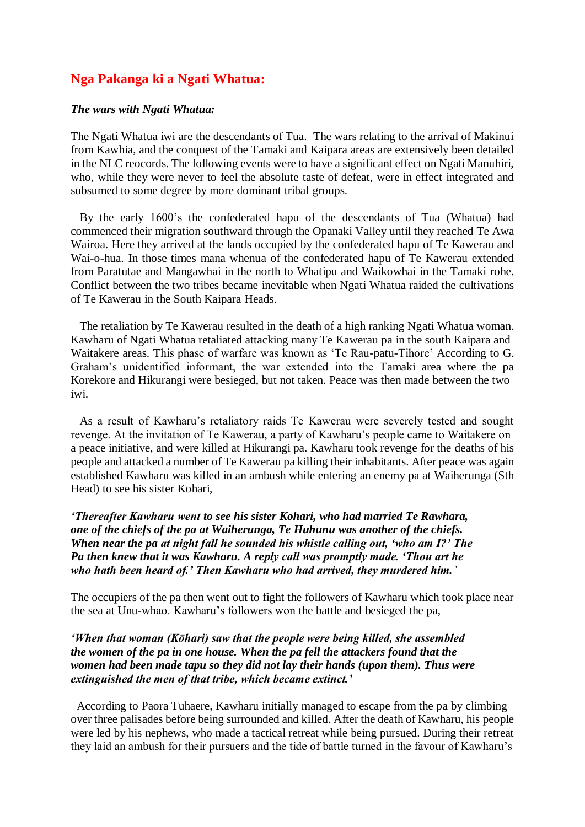# **Nga Pakanga ki a Ngati Whatua:**

#### *The wars with Ngati Whatua:*

The Ngati Whatua iwi are the descendants of Tua. The wars relating to the arrival of Makinui from Kawhia, and the conquest of the Tamaki and Kaipara areas are extensively been detailed in the NLC reocords. The following events were to have a significant effect on Ngati Manuhiri, who, while they were never to feel the absolute taste of defeat, were in effect integrated and subsumed to some degree by more dominant tribal groups.

 By the early 1600's the confederated hapu of the descendants of Tua (Whatua) had commenced their migration southward through the Opanaki Valley until they reached Te Awa Wairoa. Here they arrived at the lands occupied by the confederated hapu of Te Kawerau and Wai-o-hua. In those times mana whenua of the confederated hapu of Te Kawerau extended from Paratutae and Mangawhai in the north to Whatipu and Waikowhai in the Tamaki rohe. Conflict between the two tribes became inevitable when Ngati Whatua raided the cultivations of Te Kawerau in the South Kaipara Heads.

 The retaliation by Te Kawerau resulted in the death of a high ranking Ngati Whatua woman. Kawharu of Ngati Whatua retaliated attacking many Te Kawerau pa in the south Kaipara and Waitakere areas. This phase of warfare was known as 'Te Rau-patu-Tihore' According to G. Graham's unidentified informant, the war extended into the Tamaki area where the pa Korekore and Hikurangi were besieged, but not taken. Peace was then made between the two iwi.

 As a result of Kawharu's retaliatory raids Te Kawerau were severely tested and sought revenge. At the invitation of Te Kawerau, a party of Kawharu's people came to Waitakere on a peace initiative, and were killed at Hikurangi pa. Kawharu took revenge for the deaths of his people and attacked a number of Te Kawerau pa killing their inhabitants. After peace was again established Kawharu was killed in an ambush while entering an enemy pa at Waiherunga (Sth Head) to see his sister Kohari,

## *'Thereafter Kawharu went to see his sister Kohari, who had married Te Rawhara, one of the chiefs of the pa at Waiherunga, Te Huhunu was another of the chiefs. When near the pa at night fall he sounded his whistle calling out, 'who am I?' The Pa then knew that it was Kawharu. A reply call was promptly made. 'Thou art he who hath been heard of.' Then Kawharu who had arrived, they murdered him.'*

The occupiers of the pa then went out to fight the followers of Kawharu which took place near the sea at Unu-whao. Kawharu's followers won the battle and besieged the pa,

### *'When that woman (Kōhari) saw that the people were being killed, she assembled the women of the pa in one house. When the pa fell the attackers found that the women had been made tapu so they did not lay their hands (upon them). Thus were extinguished the men of that tribe, which became extinct.'*

 According to Paora Tuhaere, Kawharu initially managed to escape from the pa by climbing over three palisades before being surrounded and killed. After the death of Kawharu, his people were led by his nephews, who made a tactical retreat while being pursued. During their retreat they laid an ambush for their pursuers and the tide of battle turned in the favour of Kawharu's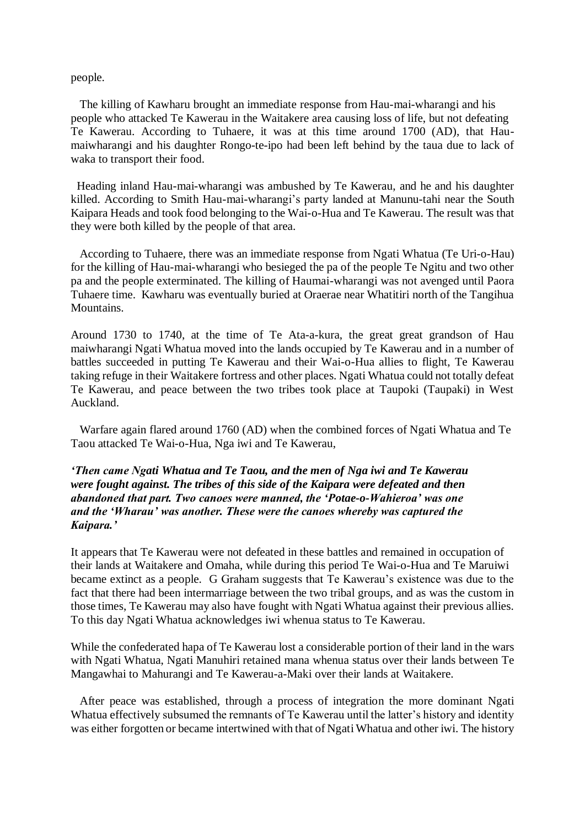#### people.

 The killing of Kawharu brought an immediate response from Hau-mai-wharangi and his people who attacked Te Kawerau in the Waitakere area causing loss of life, but not defeating Te Kawerau. According to Tuhaere, it was at this time around 1700 (AD), that Haumaiwharangi and his daughter Rongo-te-ipo had been left behind by the taua due to lack of waka to transport their food.

 Heading inland Hau-mai-wharangi was ambushed by Te Kawerau, and he and his daughter killed. According to Smith Hau-mai-wharangi's party landed at Manunu-tahi near the South Kaipara Heads and took food belonging to the Wai-o-Hua and Te Kawerau. The result was that they were both killed by the people of that area.

 According to Tuhaere, there was an immediate response from Ngati Whatua (Te Uri-o-Hau) for the killing of Hau-mai-wharangi who besieged the pa of the people Te Ngitu and two other pa and the people exterminated. The killing of Haumai-wharangi was not avenged until Paora Tuhaere time. Kawharu was eventually buried at Oraerae near Whatitiri north of the Tangihua **Mountains** 

Around 1730 to 1740, at the time of Te Ata-a-kura, the great great grandson of Hau maiwharangi Ngati Whatua moved into the lands occupied by Te Kawerau and in a number of battles succeeded in putting Te Kawerau and their Wai-o-Hua allies to flight, Te Kawerau taking refuge in their Waitakere fortress and other places. Ngati Whatua could not totally defeat Te Kawerau, and peace between the two tribes took place at Taupoki (Taupaki) in West Auckland.

 Warfare again flared around 1760 (AD) when the combined forces of Ngati Whatua and Te Taou attacked Te Wai-o-Hua, Nga iwi and Te Kawerau,

## *'Then came Ngati Whatua and Te Taou, and the men of Nga iwi and Te Kawerau were fought against. The tribes of this side of the Kaipara were defeated and then abandoned that part. Two canoes were manned, the 'Potae-o-Wahieroa' was one and the 'Wharau' was another. These were the canoes whereby was captured the Kaipara.'*

It appears that Te Kawerau were not defeated in these battles and remained in occupation of their lands at Waitakere and Omaha, while during this period Te Wai-o-Hua and Te Maruiwi became extinct as a people. G Graham suggests that Te Kawerau's existence was due to the fact that there had been intermarriage between the two tribal groups, and as was the custom in those times, Te Kawerau may also have fought with Ngati Whatua against their previous allies. To this day Ngati Whatua acknowledges iwi whenua status to Te Kawerau.

While the confederated hapa of Te Kawerau lost a considerable portion of their land in the wars with Ngati Whatua, Ngati Manuhiri retained mana whenua status over their lands between Te Mangawhai to Mahurangi and Te Kawerau-a-Maki over their lands at Waitakere.

 After peace was established, through a process of integration the more dominant Ngati Whatua effectively subsumed the remnants of Te Kawerau until the latter's history and identity was either forgotten or became intertwined with that of Ngati Whatua and other iwi. The history